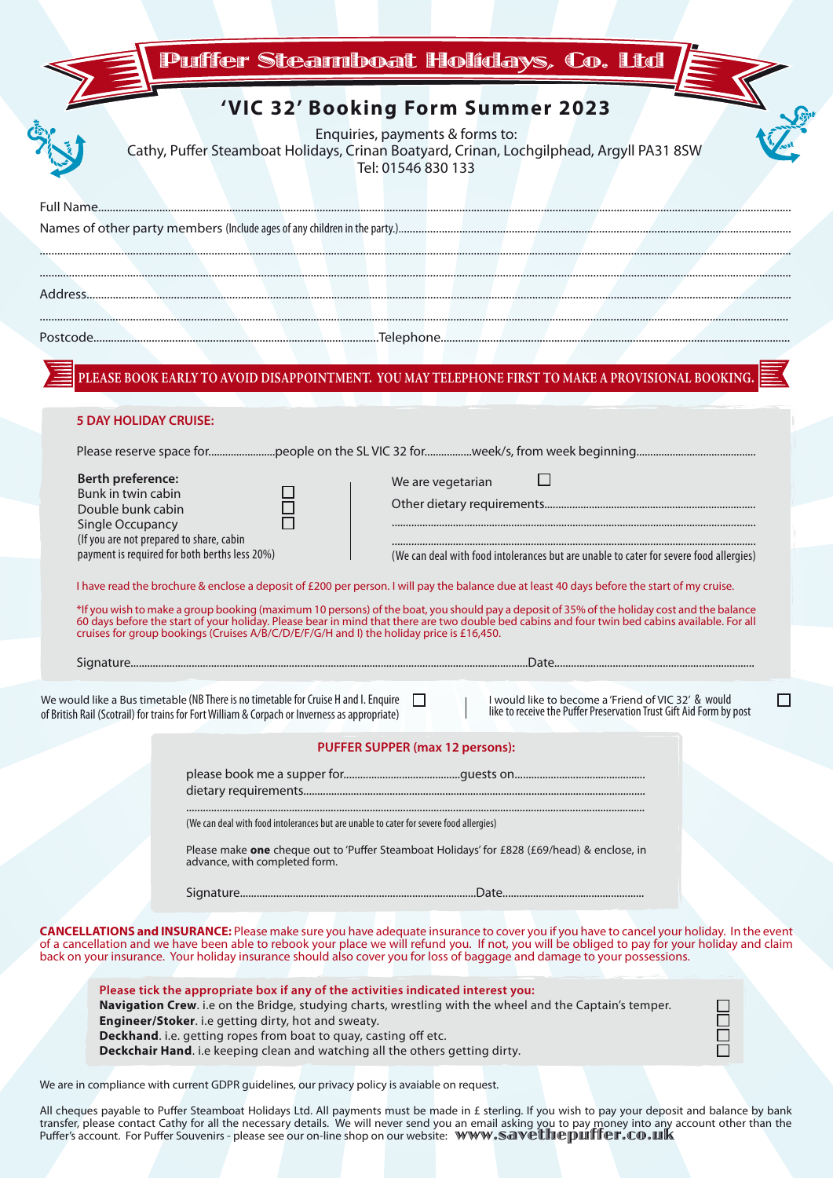| <b>Puffer Steamboat Holídays, Co. Ltd</b>                                                                                                                                                                                                                                                                                                                                                                             |
|-----------------------------------------------------------------------------------------------------------------------------------------------------------------------------------------------------------------------------------------------------------------------------------------------------------------------------------------------------------------------------------------------------------------------|
| 'VIC 32' Booking Form Summer 2023<br>Enquiries, payments & forms to:<br>Cathy, Puffer Steamboat Holidays, Crinan Boatyard, Crinan, Lochgilphead, Argyll PA31 8SW<br>Tel: 01546 830 133                                                                                                                                                                                                                                |
|                                                                                                                                                                                                                                                                                                                                                                                                                       |
|                                                                                                                                                                                                                                                                                                                                                                                                                       |
|                                                                                                                                                                                                                                                                                                                                                                                                                       |
|                                                                                                                                                                                                                                                                                                                                                                                                                       |
| PLEASE BOOK EARLY TO AVOID DISAPPOINTMENT. YOU MAY TELEPHONE FIRST TO MAKE A PROVISIONAL BOOKING.                                                                                                                                                                                                                                                                                                                     |
|                                                                                                                                                                                                                                                                                                                                                                                                                       |
| <b>5 DAY HOLIDAY CRUISE:</b>                                                                                                                                                                                                                                                                                                                                                                                          |
| Berth preference:                                                                                                                                                                                                                                                                                                                                                                                                     |
| We are vegetarian<br>Bunk in twin cabin<br>Double bunk cabin                                                                                                                                                                                                                                                                                                                                                          |
| Single Occupancy<br>(If you are not prepared to share, cabin                                                                                                                                                                                                                                                                                                                                                          |
| payment is required for both berths less 20%)<br>(We can deal with food intolerances but are unable to cater for severe food allergies)                                                                                                                                                                                                                                                                               |
| I have read the brochure & enclose a deposit of £200 per person. I will pay the balance due at least 40 days before the start of my cruise.                                                                                                                                                                                                                                                                           |
| *If you wish to make a group booking (maximum 10 persons) of the boat, you should pay a deposit of 35% of the holiday cost and the balance<br>60 days before the start of your holiday. Please bear in mind that there are two double bed cabins and four twin bed cabins available. For all<br>cruises for group bookings (Cruises A/B/C/D/E/F/G/H and I) the holiday price is £16,450.                              |
| Signature.<br>.Date                                                                                                                                                                                                                                                                                                                                                                                                   |
| We would like a Bus timetable (NB There is no timetable for Cruise H and I. Enquire<br>I would like to become a 'Friend of VIC 32' & would<br>$\perp$<br>like to receive the Puffer Preservation Trust Gift Aid Form by post<br>of British Rail (Scotrail) for trains for Fort William & Corpach or Inverness as appropriate)                                                                                         |
| PUFFER SUPPER (max 12 persons):                                                                                                                                                                                                                                                                                                                                                                                       |
|                                                                                                                                                                                                                                                                                                                                                                                                                       |
| (We can deal with food intolerances but are unable to cater for severe food allergies)                                                                                                                                                                                                                                                                                                                                |
| Please make one cheque out to 'Puffer Steamboat Holidays' for £828 (£69/head) & enclose, in<br>advance, with completed form.                                                                                                                                                                                                                                                                                          |
|                                                                                                                                                                                                                                                                                                                                                                                                                       |
| CANCELLATIONS and INSURANCE: Please make sure you have adequate insurance to cover you if you have to cancel your holiday. In the event<br>of a cancellation and we have been able to rebook your place we will refund you. If not, you will be obliged to pay for your holiday and claim<br>back on your insurance. Your holiday insurance should also cover you for loss of baggage and damage to your possessions. |
| Please tick the appropriate box if any of the activities indicated interest you:<br>Navigation Crew. i.e on the Bridge, studying charts, wrestling with the wheel and the Captain's temper.<br>88<br>88<br>Engineer/Stoker. i.e getting dirty, hot and sweaty.<br>Deckhand. i.e. getting ropes from boat to quay, casting off etc.<br>Deckchair Hand. i.e keeping clean and watching all the others getting dirty.    |
| We are in compliance with current GDPR guidelines, our privacy policy is avaiable on request.                                                                                                                                                                                                                                                                                                                         |
| All cheques payable to Puffer Steamboat Holidays Ltd. All payments must be made in £ sterling. If you wish to pay your deposit and balance by bank                                                                                                                                                                                                                                                                    |

transfer, please contact Cathy for all the necessary details. We will never send you an email asking you to pay money into any account other than the<br>Puffer's account. For Puffer Souvenirs - please see our on-line shop on